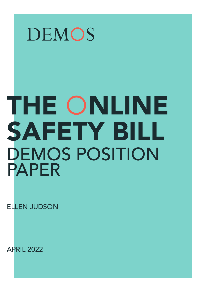## DEMOS

# THE ONLINE SAFETY BILL DEMOS POSITION PAPER

ELLEN JUDSON

APRIL 2022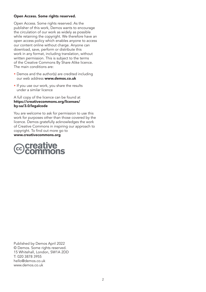#### Open Access. Some rights reserved.

Open Access. Some rights reserved. As the publisher of this work, Demos wants to encourage the circulation of our work as widely as possible while retaining the copyright. We therefore have an open access policy which enables anyone to access our content online without charge. Anyone can download, save, perform or distribute this work in any format, including translation, without written permission. This is subject to the terms of the Creative Commons By Share Alike licence. The main conditions are:

- Demos and the author(s) are credited including our web address [www.demos.co.uk](http://www.demos.co.uk)
- If you use our work, you share the results under a similar licence

#### A full copy of the licence can be found at [https://creativecommons.org/licenses/](https://creativecommons.org/licenses/by-sa/3.0/legalcode) [by-sa/3.0/legalcode](https://creativecommons.org/licenses/by-sa/3.0/legalcode)

You are welcome to ask for permission to use this work for purposes other than those covered by the licence. Demos gratefully acknowledges the work of Creative Commons in inspiring our approach to copyright. To find out more go to [www.creativecommons.org](http://www.creativecommons.org)



Published by Demos April 2022 © Demos. Some rights reserved. 15 Whitehall, London, SW1A 2DD T: 020 3878 3955 [hello@demos.co.uk](mailto:hello@demos.co.uk) [www.demos.co.uk](http://www.demos.co.uk)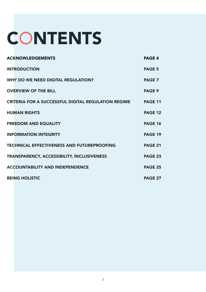# **CONTENTS**

| <b>ACKNOWLEDGEMENTS</b>                                    | <b>PAGE 4</b>  |
|------------------------------------------------------------|----------------|
| <b>INTRODUCTION</b>                                        | <b>PAGE 5</b>  |
| <b>WHY DO WE NEED DIGITAL REGULATION?</b>                  | <b>PAGE 7</b>  |
| <b>OVERVIEW OF THE BILL</b>                                | <b>PAGE 9</b>  |
| <b>CRITERIA FOR A SUCCESSFUL DIGITAL REGULATION REGIME</b> | <b>PAGE 11</b> |
| <b>HUMAN RIGHTS</b>                                        | <b>PAGE 12</b> |
| <b>FREEDOM AND EQUALITY</b>                                | <b>PAGE 16</b> |
| <b>INFORMATION INTEGRITY</b>                               | <b>PAGE 19</b> |
| <b>TECHNICAL EFFECTIVENESS AND FUTUREPROOFING</b>          | <b>PAGE 21</b> |
| TRANSPARENCY, ACCESSIBILITY, INCLUSIVENESS                 | <b>PAGE 23</b> |
| <b>ACCOUNTABILITY AND INDEPENDENCE</b>                     | <b>PAGE 25</b> |
| <b>BEING HOLISTIC</b>                                      | <b>PAGE 27</b> |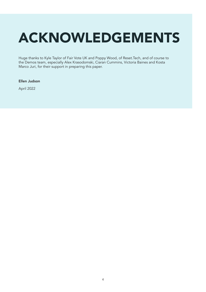## <span id="page-3-0"></span>ACKNOWLEDGEMENTS

Huge thanks to Kyle Taylor of Fair Vote UK and Poppy Wood, of Reset.Tech, and of course to the Demos team, especially Alex Krasodomski, Ciaran Cummins, Victoria Baines and Kosta Marco Juri, for their support in preparing this paper.

#### Ellen Judson

April 2022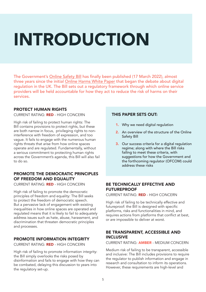# <span id="page-4-0"></span>INTRODUCTION INTRODUCTION

The Government's [Online Safety Bill](https://bills.parliament.uk/bills/3137/publications) has finally been published (17 March 2022), almost three years since the initial [Online Harms White Paper](https://www.gov.uk/government/consultations/online-harms-white-paper) that began the debate about digital regulation in the UK. The Bill sets out a regulatory framework through which online service providers will be held accountable for how they act to reduce the risk of harms on their services.

## PROTECT HUMAN RIGHTS

#### CURRENT RATING: RED - HIGH CONCERN

High risk of failing to protect human rights: The Bill contains provisions to protect rights, but these are both narrow in focus, privileging rights to noninterference with freedom of expression, and too vague. It fails to engage with the numerous human rights threats that arise from how online spaces operate and are regulated. Fundamentally, without a serious commitment to protecting human rights across the Government's agenda, this Bill will also fail to do so.

## PROMOTE THE DEMOCRATIC PRINCIPLES OF FREEDOM AND EQUALITY

CURRENT RATING: RED - HIGH CONCERN

High risk of failing to promote the democratic principles of freedom and equality: The Bill seeks to protect the freedom of democratic speech. But a pervasive lack of engagement with existing inequalities in how online spaces are operated and regulated means that it is likely to fail to adequately address issues such as hate, abuse, harassment, and discrimination that threaten democratic principles and processes.

## PROMOTE INFORMATION INTEGRITY

CURRENT RATING: RED - HIGH CONCERN

High risk of failing to promote information integrity: the Bill simply overlooks the risks posed by disinformation and fails to engage with how they can be combated, delaying this discussion to years into the regulatory set-up.

## THIS PAPER SETS OUT:

- 1. Why we need digital regulation
- 2. An overview of the structure of the Online Safety Bill
- **3.** Our success criteria for a digital regulation regime; along with where the Bill risks failing to meet these criteria, with suggestions for how the Government and the forthcoming regulator (OFCOM) could address these risks

## BE TECHNICALLY EFFECTIVE AND **FUTUREPROOF**

CURRENT RATING: RED - HIGH CONCERN

High risk of failing to be technically effective and futureproof: the Bill is designed with specific platforms, risks and functionalities in mind, and requires actions from platforms that conflict at best, or are impossible to deliver at worst.

## BE TRANSPARENT, ACCESSIBLE AND INCLUSIVE

CURRENT RATING: AMBER - MEDIUM CONCERN

Medium risk of failing to be transparent, accessible and inclusive: The Bill includes provisions to require the regulator to publish information and engage in research and consultation to inform its operations. However, these requirements are high-level and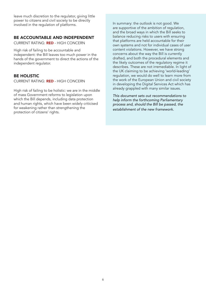leave much discretion to the regulator, giving little power to citizens and civil society to be directly involved in the regulation of platforms.

### BE ACCOUNTABLE AND INDEPENDENT

CURRENT RATING: RED - HIGH CONCERN

High risk of failing to be accountable and independent: the Bill leaves too much power in the hands of the government to direct the actions of the independent regulator.

## BE HOLISTIC

CURRENT RATING: RED - HIGH CONCERN

High risk of failing to be holistic: we are in the middle of mass Government reforms to legislation upon which the Bill depends, including data protection and human rights, which have been widely criticised for weakening rather than strengthening the protection of citizens' rights.

In summary: the outlook is not good. We are supportive of the ambition of regulation, and the broad ways in which the Bill seeks to balance reducing risks to users with ensuring that platforms are held accountable for their own systems and not for individual cases of user content violations. However, we have strong concerns about the way the Bill is currently drafted, and both the procedural elements and the likely outcomes of the regulatory regime it describes. These are not irremediable. In light of the UK claiming to be achieving 'world-leading' regulation, we would do well to learn more from the work of the European Union and civil society in developing the Digital Services Act which has already grappled with many similar issues.

*This document sets out recommendations to help inform the forthcoming Parliamentary process and, should the Bill be passed, the establishment of the new framework.*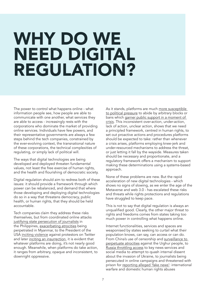## <span id="page-6-0"></span>WHY DO WE NEED DIGITAL REGULATION?

The power to control what happens online - what information people see, how people are able to communicate with one another, what services they are able to access - increasingly rests with the corporations who dominate the market of providing online services. Individuals have few powers, and their representative governments are always a few steps behind the tech companies, constrained by the ever-evolving context, the transnational nature of these corporations, the technical complexities of regulating, or simply lack of political will.

The ways that digital technologies are being developed and deployed threaten fundamental values, not least the free exercise of human rights, and the health and flourishing of democratic society.

Digital regulation should aim to redress both of these issues: it should provide a framework through which power can be rebalanced, and demand that where those developing and deploying digital technologies do so in a way that threatens democracy, public health, or human rights, that they should be held accountable.

Tech companies claim they address these risks themselves, but from coordinated online attacks [justifying state persecution of journalists](https://www.icfj.org/our-work/maria-ressa-big-data-analysis) in the Philippines, [exacerbating atrocities](https://www.theguardian.com/technology/2021/dec/06/rohingya-sue-facebook-myanmar-genocide-us-uk-legal-action-social-media-violence) being perpetrated in Myanmar, to the President of the USA [inciting violence](https://www.vox.com/21506029/trump-violence-tweets-racist-hate-speech) against protestors on Twitter and later [inciting an insurrection,](https://www.nytimes.com/2022/03/29/us/politics/trump-tweet-jan-6.html?referringSource=articleShare) it is evident that whatever platforms are doing, it's not nearly good enough. Meanwhile, when platforms do take action, it ranges from arbitrary, opaque and inconsistent, to downright oppressive.

As it stands, platforms are much [more susceptible](https://www.csmonitor.com/World/Europe/2021/0115/Europe-criticizes-Trump-Twitter-ban-but-not-for-reason-you-d-expect)  [to political pressure](https://www.csmonitor.com/World/Europe/2021/0115/Europe-criticizes-Trump-Twitter-ban-but-not-for-reason-you-d-expect) to abide by arbitrary blocks or bans which [garner public support in a moment of](https://www.hrw.org/news/2022/03/16/russia-ukraine-and-social-media-and-messaging-apps)  [crisis.](https://www.hrw.org/news/2022/03/16/russia-ukraine-and-social-media-and-messaging-apps) This inconsistent over-action, under-action, lack of action, unclear action, shows that we need a principled framework, centred in human rights, to set out proactive actions and procedures platforms should be expected to take: rather than whenever a crisis arises, platforms employing knee-jerk and under-resourced mechanisms to address the threat, or just letting it fall by the wayside. Measures taken should be necessary and proportionate, and a regulatory framework offers a mechanism to support making these determinations using a systems-based approach.

None of these problems are new. But the rapid acceleration of new digital technologies - which shows no signs of slowing, as we enter the age of the Metaverse and web 3.0 - has escalated these risks and threats while rights protections and regulations have struggled to keep pace.

This is not to say that digital regulation is always an unqualified good. Clearly, the other major threat to rights and freedoms comes from states taking too much power in controlling what happens online.

Internet functionalities, services and spaces are weaponised by states seeking to curtail what their population knows, can say, can access or can do. From China's use of censorship and surveillance to [perpetuate atrocities](https://www.hrw.org/news/2020/09/28/chinese-tech-firms-fueling-beijings-repression) against the Uighur people, to [Russia throttling access](https://www.theguardian.com/world/2022/mar/04/russia-completely-blocks-access-to-facebook-and-twitter) to key news services and social media to attempt to quash internal dissent about the invasion of Ukraine, to journalists being persecuted in online campaigns and threatened with prison for [reporting alleged 'fake news':](https://www.thetimes.co.uk/article/fake-news-charges-put-30-journalists-in-prison-gr2p3mqrb) international warfare and domestic human rights abuses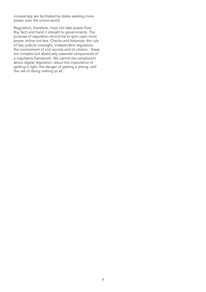increasingly are facilitated by states seeking more power over the online world.

Regulation, therefore, must not take power from Big Tech and hand it straight to governments. The purpose of regulation should be to give users more power online not less. Checks and balances: the rule of law, judicial oversight, independent regulators, the involvement of civil society and of citizens - these are complex but absolutely essential components of a regulatory framework. We cannot be complacent about digital regulation: about the importance of getting it right, the danger of getting it wrong, and the risk of doing nothing at all.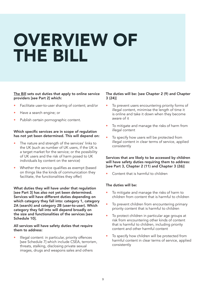## <span id="page-8-0"></span>OVERVIEW OF THE BILL

#### [The Bill](https://publications.parliament.uk/pa/bills/cbill/58-02/0285/210285.pdf) sets out duties that apply to online service providers [see Part 2] which:

- Facilitate user-to-user sharing of content; and/or
- Have a search engine; or
- Publish certain pornographic content.

#### Which specific services are in scope of regulation has not yet been determined. This will depend on:

- The nature and strength of the services' links to the UK (such as number of UK users, if the UK is a target market for the service; or the possibility of UK users and the risk of harm posed to UK individuals by content on the service)
- Whether the service qualifies as exempt (based on things like the kinds of communication they facilitate, the functionalities they offer)

What duties they will have under that regulation [see Part 3] has also not yet been determined. Services will have different duties depending on which category they fall into: category 1, category 2A (search) and category 2B (user-to-user). Which category they fall into will depend broadly on the size and functionalities of the services [see Schedule 10].

#### All services will have safety duties that require them to address:

Illegal content: in particular, priority offences [see Schedule 7] which include CSEA, terrorism, threats, stalking, disclosing private sexual images, drugs and weapons sales and others

#### The duties will be: [see Chapter 2 (9) and Chapter 3 (24)]

- To prevent users encountering priority forms of illegal content, minimise the length of time it is online and take it down when they become aware of it
- To mitigate and manage the risks of harm from illegal content
- To specify how users will be protected from illegal content in clear terms of service, applied consistently

Services that are likely to be accessed by children will have safety duties requiring them to address: [see Part 3, Chapter 2 (11) and Chapter 3 (26)]

• Content that is harmful to children

#### The duties will be:

- To mitigate and manage the risks of harm to children from content that is harmful to children
- To prevent children from encountering primary priority content that is harmful to children
- To protect children in particular age groups at risk from encountering other kinds of content that is harmful to children, including priority content and other harmful content
- To specify how children will be protected from harmful content in clear terms of service, applied consistently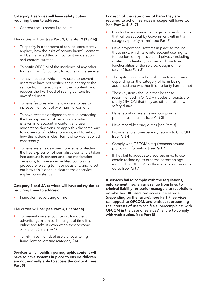#### Category 1 services will have safety duties requiring them to address:

Content that is harmful to adults

## The duties will be: [see Part 3, Chapter 2 (13-16)]

- To specify in clear terms of service, consistently applied, how the risks of priority harmful content will be managed through content moderation and content curation
- To notify OFCOM of the incidence of any other forms of harmful content to adults on the service
- To have features which allow users to prevent users who have not verified their identity to the service from interacting with their content, and reduces the likelihood of seeing content from unverified users
- To have features which allow users to use to increase their control over harmful content
- To have systems designed to ensure protecting the free expression of democratic content is taken into account in content and user moderation decisions, to apply this the same way to a diversity of political opinion, and to set out how this is done in clear terms of service, applied consistently
- To have systems designed to ensure protecting the free expression of journalistic content is taken into account in content and user moderation decisions, to have an expedited complaints procedure relating to these decisions, and to set out how this is done in clear terms of service, applied consistently

#### Category 1 and 2A services will have safety duties requiring them to address:

• Fraudulent advertising online

#### The duties will be: [see Part 3, Chapter 5]

- To prevent users encountering fraudulent advertising, minimise the length of time it is online and take it down when they become aware of it (category 1)
- To minimise the risk of users encountering fraudulent advertising (category 2A)

Services which publish pornographic content will have to have systems in place to ensure children are not normally able to access the content. [see Part 5]

#### For each of the categories of harm they are required to act on, services in scope will have to: [see Part 3, 4, 5, 7]

- Conduct a risk assessment against specific harms that will be set out by Government within that category (priority harms) [see Part 3]
- Have proportional systems in place to reduce those risks, which take into account user rights to freedom of expression and privacy (including content moderation, policies and practices, functionalities of the service, design of the service) [see Part 3]
- The system and level of risk reduction will vary depending on the category of harm being addressed and whether it is a priority harm or not
- These- systems should either be those recommended in OFCOM's codes of practice or satisfy OFCOM that they are still compliant with safety duties
- Have reporting systems and complaints procedures for users [see Part 3]
- Have record-keeping duties [see Part 3]
- Provide regular transparency reports to OFCOM [see Part 4]
- Comply with OFCOM's requirements around providing information [see Part 7]
- If they fail to adequately address risks, to use certain technologies or forms of technology required by OFCOM on their services in order to do so [see Part 7]

If services fail to comply with the regulations, enforcement mechanisms range from fines to criminal liability for senior managers to restrictions on whether UK users can access the service (depending on the failure). [see Part 7] Services can appeal to OFCOM, and entities representing the interests of users can file supercomplaints with OFCOM in the case of services' failure to comply with their duties. [see Part 8]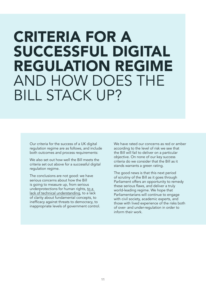## <span id="page-10-0"></span>CRITERIA FOR A SUCCESSFUL DIGITAL REGULATION REGIME AND HOW DOES THE BILL STACK UP?

Our criteria for the success of a UK digital regulation regime are as follows, and include both outcomes and process requirements:

We also set out how well the Bill meets the criteria set out above for a successful digital regulation regime.

The conclusions are not good: we have serious concerns about how the Bill is going to measure up, from serious underprotections for human rights, [to a](https://demos.co.uk/blog/system-change-for-system-changes-sake/)  [lack of technical understanding,](https://demos.co.uk/blog/system-change-for-system-changes-sake/) to a lack of clarity about fundamental concepts, to inefficacy against threats to democracy, to inappropriate levels of government control. We have rated our concerns as red or amber according to the level of risk we see that the Bill will fail to deliver on a particular objective. On none of our key success criteria do we consider that the Bill as it stands warrants a green rating.

The good news is that this next period of scrutiny of the Bill as it goes through Parliament offers an opportunity to remedy these serious flaws, and deliver a truly world-leading regime. We hope that Parliamentarians will continue to engage with civil society, academic experts, and those with lived experience of the risks both of over- and under-regulation in order to inform their work.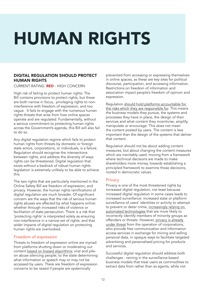# <span id="page-11-0"></span>HUMAN RIGHTS

## DIGITAL REGULATION SHOULD PROTECT HUMAN RIGHTS

CURRENT RATING: RED - HIGH CONCERN

High risk of failing to protect human rights: The Bill contains provisions to protect rights, but these are both narrow in focus, privileging rights to noninterference with freedom of expression, and too vague. It fails to engage with the numerous human rights threats that arise from how online spaces operate and are regulated. Fundamentally, without a serious commitment to protecting human rights across the Government's agenda, this Bill will also fail to do so.

Any digital regulation regime which fails to protect human rights from threats by domestic or foreign state actors, corporations, or individuals, is a failure. Regulation should recognise the intersections between rights, and address the diversity of ways rights can be threatened. Digital regulation that exists without a bedrock of robust human rights legislation is extremely unlikely to be able to achieve this.

The two rights that are particularly mentioned in the Online Safety Bill are freedom of expression, and privacy. However, the human rights ramifications of digital regulation are much broader. Of significant concern are the ways that the risk of serious human rights abuses are affected by what happens online: whether through increased risks of violence or facilitation of state persecution. There is a risk that 'protecting rights' is interpreted solely as ensuring non-interference in a narrow set of rights: and that wider impacts of digital regulation on protecting human rights are overlooked.

## Freedom of expression

Threats to freedom of expression online are myriad: from platforms shutting down or moderating out content [based on biased algorithms](https://www.vox.com/recode/2019/8/15/20806384/social-media-hate-speech-bias-black-african-american-facebook-twitter); viral and pileon abuse silencing people; to the state determining what information or speech may or may not be accessed by users. There are freedom of expression concerns to be raised if people are systemically

prevented from accessing or expressing themselves in online spaces, as these are key sites for political discourse, participation, and accessing information. Restrictions on freedom of information and association impact people's freedom of opinion and expression.

Regulation [should hold platforms accountable for](https://www.politico.eu/wp-content/uploads/2022/03/08/Broad-Online-Safety-Bill-Coalition-Letter-to-SoS-March-20221.pdf?utm_source=POLITICO.EU&utm_campaign=8ff1bb672c-EMAIL_CAMPAIGN_2022_03_09_04_10&utm_medium=email&utm_term=0_10959edeb5-8ff1bb672c-190791860)  [the risks which they are responsible for](https://www.politico.eu/wp-content/uploads/2022/03/08/Broad-Online-Safety-Bill-Coalition-Letter-to-SoS-March-20221.pdf?utm_source=POLITICO.EU&utm_campaign=8ff1bb672c-EMAIL_CAMPAIGN_2022_03_09_04_10&utm_medium=email&utm_term=0_10959edeb5-8ff1bb672c-190791860). This means the business models they pursue, the systems and processes they have in place, the design of their services and what content they incentivise, amplify, manipulate or encourage. This does not mean the content posted by users. The content is less important than the design of the systems that deliver that content.

Regulation should not be about adding content measures, but about changing the content measures which are inevitably used: moving from a framework where technical decisions are made to make shareholders more money, towards establishing a principled framework to examine those decisions, rooted in democratic values.

## **Privacy**

Privacy is one of the most threatened rights by increased digital regulation, not least because increased digital regulation in some cases leads to increased surveillance: increased state or platform surveillance of users' identities or activity to attempt to prevent or deter crime, [increasingly relying on](https://www.amnesty.org/en/latest/news/2021/01/ban-dangerous-facial-recognition-technology-that-amplifies-racist-policing/)  [automated technologies](https://www.amnesty.org/en/latest/news/2021/01/ban-dangerous-facial-recognition-technology-that-amplifies-racist-policing/) that are more likely to incorrectly identify members of minority groups as offenders or threats. However, [privacy is already](https://fortune.com/2021/10/29/mark-zuckerberg-metaverse-privacy-facebook-meta/#:~:text=In%202020%2C%20Facebook%20paid%20another,links%20faces%20to%20individual%20identities.)  [under threat](https://fortune.com/2021/10/29/mark-zuckerberg-metaverse-privacy-facebook-meta/#:~:text=In%202020%2C%20Facebook%20paid%20another,links%20faces%20to%20individual%20identities.) from the operation of corporations, who provide free communication and information access services in exchange for mining and selling personal data, in opaque ways to facilitate targeted advertising and personalised pricing for products and services.

Successful digital regulation should address both challenges - reining in the surveillance-based business models that treat users as commodities to extract data from rather than as agents, while not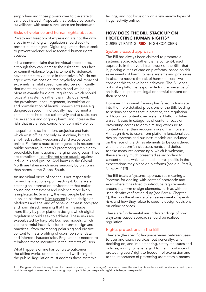simply handing those powers over to the state to carry out instead. Proposals that replace corporate surveillance with state surveillance are inadequate.

### Risks of violence and human rights abuses

Privacy and freedom of expression are not the only areas in which digital regulation should seek to protect human rights. Digital regulation should seek to prevent violence and associated human rights abuses.

It is a common claim that individual speech acts, although they can increase the risks that users face or commit violence (e.g. incitement to violence), never constitute violence in themselves. We do not agree with this position: the psychological impact of extremely harmful speech can also be significantly detrimental to someone's health and wellbeing. More relevantly for digital regulation, which should focus at a systemic rather than individual level: the prevalence, encouragement, incentivisation and normalisation of harmful speech acts (see e.g. [dangerous speech\)](https://dangerousspeech.org/about-dangerous-speech/), individually may not meet a criminal threshold, but collectively and at scale, can cause serious and ongoing harm, and increase the risks that users face, condone or commit violence.<sup>1</sup>

Inequalities, discrimination, prejudice and hate which exist offline not only exist online, but are amplified, scaled, weaponised and exacerbated online. Platforms react to emergencies in response to public pressure, but aren't preempting even clearly [predictable harms](https://www.theguardian.com/football/2021/jun/27/revealed-shocking-scale-twitter-abuse-targeting-england-euro-2020) against [marginalised groups.](https://gal-dem.com/black-mental-health-needs-protecting-online-heres-how-you-can-help/) They are complicit in [coordinated state attacks](https://demos.co.uk/project/engendering-hate-the-contours-of-state-aligned-gendered-disinformation-online/) against individuals and groups. And harms in the Global North are [taken much more seriously](https://qz.com/1284128/dearmark-letters-underline-that-facebook-cares-only-about-the-crises-it-creates-in-wealthy-countries/) by platforms than harms in the Global South.

An individual piece of speech is not responsible for another's actions upon reading it: but a system creating an information environment that makes abuse and harassment and violence more likely is implicatable. Similarly, the way people behave in online platforms [is influenced](https://demos.co.uk/project/a-picture-of-health-measuring-the-comparative-health-of-online-spaces/) by the design of platforms and the kind of behaviour that is accepted and normalised: meaning that harm is made more likely by poor platform design, which digital regulation should seek to address. These risks are exacerbated by for-profit business models, which create harmful incentives for platform design and practices - from promoting polarising and divisive content to mass profiling of users' personal data and inferred characteristics. Regulation is needed to rebalance these incentives in the interests of users

What happens online has concrete outcomes in the offline world, on the health and wellbeing of the public. Regulation must address these systemic

failings, and not focus only on a few narrow types of illegal activity online.

## HOW DOES THE BILL STACK UP ON PROTECTING HUMAN RIGHTS?

CURRENT RATING: RED - HIGH CONCERN

## Systems-based approach

The Bill has always been claimed to promote a systemic approach, rather than a content-based approach. In the overall framework of the Bill - that is, placing duties of care on platforms, based on risk assessments of harm, to have systems and processes in place to reduce the risk of harm to users - we consider this to have been achieved. The Bill does not make platforms responsible for the presence of an individual piece of illegal or harmful content on their services.

However: this overall framing has failed to translate into the more detailed provisions of the Bill, leading to serious concerns that in practice, the regulation will focus on content over systems. Platform duties are still based in categories of content, focus on preventing access to or minimising exposure to content (rather than reducing risks of harm overall). Although risks to users from platform functionalities, design, systems and business models are included on the face of the Bill as elements to be considered within a platform's risk assessments and duties to take measures accordingly, which is welcome, these are very much presented as secondary to content duties, which are much more specific in the expectations they place on platforms [see e.g. Part 3, Chapter 2 (9)].

The Bill treats a 'systems' approach as meaning a 'systems-for-dealing-with-content' approach: and even where it has tried to introduce requirements around platform design elements, such as with the user identity verification duty [see Part 4, Chapter 1], this is in the absence of an assessment of specific risks and how they relate to specific design decisions on online services.

These are [fundamental misunderstandings](https://demos.co.uk/blog/system-change-for-system-changes-sake/) of how a systems-based approach should be realised in regulation.

## Rights protections in the Bill

They are (the specific language varies between userto-user and search services, but generally): when deciding on, and implementing, safety measures and policies, a duty to have regard to the importance of protecting users' right to freedom of expression and to the importance of protecting users from a breach

<sup>1 &#</sup>x27;Dangerous Speech is any form of expression (speech, text, or images) that can increase the risk that its audience will condone or participate in violence against members of another group.' https://dangerousspeech.org/about-dangerous-speech/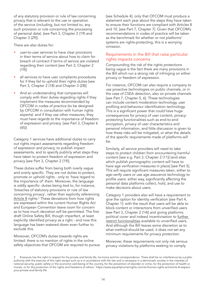of any statutory provision or rule of law concerning privacy that is relevant to the use or operation of the service (including, but not limited to, any such provision or rule concerning the processing of personal data). [see Part 3, Chapter 2 (19) and Chapter 3 (29)]

There are also duties for:

- user-to-user services to have clear provisions in their terms of service about how to claim for breach of contract if terms of service are violated regarding their content [see Part 3, Chapter 2 (19)]
- all services to have user complaints procedures for if they fail to uphold their rights duties [see Part 3, Chapter 2 (18) and Chapter 3 (28)]
- And an understanding that companies will comply with their duties regarding rights if they implement the measures recommended by OFCOM in codes of practice (to be designed by OFCOM in consultation with human rights experts): and if they use other measures, they must have regards to the importance of freedom of expression and privacy. [see Part 3, Chapter 6 (45)]

Category 1 services have additional duties to carry out rights impact assessments regarding freedom of expression and privacy, to publish impact assessments, and to specify publicly what steps they have taken to protect freedom of expression and privacy [see Part 3, Chapter 2 (19)].

These duties suffer from being both overly vague and overly specific. They are not duties to protect, promote or uphold rights - only to 'have regard to the importance of' them. Moreover, the language is oddly specific: duties being tied to, for instance, 'breaches of statutory provisions or rule of law concerning privacy', rather than explicitly referencing [Article 8](https://www.equalityhumanrights.com/en/human-rights-act/article-8-respect-your-private-and-family-life) rights.<sup>2</sup> These deviations from how rights are expressed within the current Human Rights Act and European Convention leave room for concern as to how much deviation will be permitted. The first draft Online Safety Bill, though imperfect, at least explicitly identified privacy as a right - and now this language has been watered down even further to exclude this.

Moreover, OFCOM's duties towards rights are limited: there is no mention of rights in the online safety objectives that OFCOM are required to pursue [see Schedule 4], only that OFCOM must produce a statement each year about the steps they have taken to ensure their functions are compliant with Articles 8 and 10. [see Part 7, Chapter 7]. Given that OFCOM's recommendations in codes of practice will be taken as the benchmark for whether or not platforms' systems are rights-protecting, this is a worrying omission.

## Requirements in the Bill that raise particular rights impacts concerns

Compounding the risk of the rights protections being vague is the fact there are many provisions in the Bill which run a strong risk of infringing on either privacy or freedom of expression.

For instance, OFCOM can also require a company to use proactive technologies on public channels, or in the case of CSEA detection, also on private channels [see Part 7, Chapter 5, 6]. These technologies can include content moderation technology, user profiling and behaviour identification technology. This is a significant power that could have huge consequences for privacy of user content, privacyprotecting functionalities such as end-to-end encryption, privacy of user characteristics and personal information, and little discussion is given to how these risks will be mitigated, or what the details of the specific requirements made of platforms will be.

Similarly, all service providers will need to take steps to protect children from encountering harmful content [see e.g. Part 3, Chapter 2 (11)] (and sites which publish pornographic content will have to have age verification measures in place) [see Part 5]. This will require significant measures taken, either to age-verify users or use age assurance technology to profile users: either way, significantly affecting the personal data platforms collect, hold, and use to make decisions about users.

Category 1 providers also will have a requirement to give the option for identity verification [see Part 4, Chapter 1]: with the result that users will be able to block content or interactions from unverified users [see Part 3, Chapter 2 (14)] and giving platforms political cover and indeed incentivisation to [further](https://www.gov.uk/guidance/anonymous-or-multiple-account-creation-improve-the-safety-of-your-online-platform)  [restrict functionalities](https://www.gov.uk/guidance/anonymous-or-multiple-account-creation-improve-the-safety-of-your-online-platform) available to unverified users. And although the Bill leaves some discretion as to what method should be used, it does not set any minimum requirements for privacy protection.

Moreover, these requirements not only risk serious privacy violations by platforms seeking to comply

<sup>2 &#</sup>x27;Everyone has the right to respect for his private and family life, his home and his correspondence. There shall be no interference by a public authority with the exercise of this right except such as is in accordance with the law and is necessary in a democratic society in the interests of national security, public safety or the economic well-being of the country, for the prevention of disorder or crime, for the protection of health or morals, or for the protection of the rights and freedoms of others.' https://www.equalityhumanrights.com/en/human-rights-act/article-8-respectyour-private-and-family-life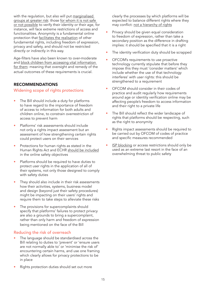with the regulation, but also will put [marginalised](https://demos.co.uk/blog/is-anonymity-the-best-target-in-the-fight-against-the-trolls/)  [groups at greater risk](https://demos.co.uk/blog/is-anonymity-the-best-target-in-the-fight-against-the-trolls/): those for whom it is not safe [or not possible](https://www.independent.co.uk/independentpremium/voices/online-anonymity-abuse-racism-saka-b1885812.html) to verify their identity or their age, for instance, will face extreme restrictions of access and functionalities. Anonymity is a fundamental online protection that [facilitates the realisation](https://www.ohchr.org/en/calls-for-input/reports/2015/report-encryption-anonymity-and-human-rights-framework) of other fundamental rights, including freedom of expression, privacy and safety, and should not be restricted directly or indirectly in this way.

Age-filters have also been known to over-moderate and [block children from accessing vital information](https://www.independent.co.uk/tech/bt-internet-filter-gives-parents-option-to-block-gay-and-lesbian-lifestyle-content-9018515.html)  [for them:](https://www.independent.co.uk/tech/bt-internet-filter-gives-parents-option-to-block-gay-and-lesbian-lifestyle-content-9018515.html) meaning that oversight and remedy of the actual outcomes of these requirements is crucial.

## RECOMMENDATIONS

Widening scope of rights protections

- The Bill should include a duty for platforms to have regard to the importance of freedom of access to information for both adults and children online, to constrain overrestriction of access to prevent harm
- Platforms' risk assessments should include not only a rights impact assessment but an assessment of how strengthening certain rights could protect users on their services
- Protections for human rights as stated in the Human Rights Act and ECHR [should be included](https://demos.co.uk/project/demos-evidence-online-safety-bill/) in the online safety objectives
- Platforms should be required to have duties to protect user rights in the application of all of their systems, not only those designed to comply with safety duties
- They should also include in their risk assessments how their activities, systems, business model and design (beyond just their safety procedures) might be impacting on their users' rights and require them to take steps to alleviate these risks
- The provisions for supercomplaints should specify that platforms' failures to protect privacy are also a grounds to bring a supercomplaint, rather than only harm and freedom of expression being mentioned on the face of the Bill

## Reducing the risk of overreach

- The language should be standardised across the Bill relating to duties to 'prevent' or 'ensure users are not normally able to' or 'minimise the risk of' encountering certain harms, and use one framing which clearly allows for privacy protections to be in place
- Rights protection duties should set out more

clearly the processes by which platforms will be expected to balance different rights where they may conflict: [not a hierarchy of rights](https://demos.co.uk/wp-content/uploads/2022/03/Joint-Submission-to-the-Human-Rights-Act-Reform-Consultation.pdf)

- Privacy should be given equal consideration to freedom of expression, rather than take a secondary position as the difference in drafting implies: it should be specified that it is a right
- The identity verification duty should be scrapped
- OFCOM's requirements to use proactive technology currently stipulate that before they impose this they must 'consider matters' which include whether the use of that technology interferes' with user rights: this should be strengthened to a requirement
- OFCOM should consider in their codes of practice and audit regularly how requirements around age or identity verification online may be affecting people's freedom to access information and their right to a private life
- The Bill should reflect the wider landscape of rights that platforms should be respecting, such as the right to anonymity
- Rights impact assessments should be required to be carried out by OFCOM of codes of practice and specific measures recommended
- [ISP blocking](https://www.openrightsgroup.org/blog/access-denied-service-blocking-in-the-online-safety-bill/) or access restrictions should only be used as an extreme last resort in the face of an overwhelming threat to public safety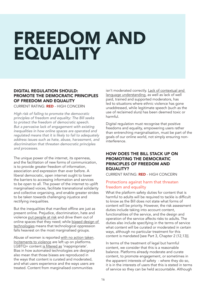## <span id="page-15-0"></span>FREEDOM AND EQUALITY

## DIGITAL REGULATION SHOULD: PROMOTE THE DEMOCRATIC PRINCIPLES OF FREEDOM AND EQUALITY

CURRENT RATING: RED - HIGH CONCERN

*High risk of failing to promote the democratic principles of freedom and equality: The Bill seeks to protect the freedom of democratic speech. But a pervasive lack of engagement with existing inequalities in how online spaces are operated and regulated means that it is likely to fail to adequately address issues such as hate, abuse, harassment, and discrimination that threaten democratic principles and processes.*

The unique power of the internet, its openness, and the facilitation of new forms of communication, is to provide greater freedom of information, association and expression than ever before. A liberal democratic, open internet ought to lower the barriers to accessing information and services to be open to all. The power of the internet to uplift marginalised voices, facilitate transnational solidarity and collective organising, and enable greater strides to be taken towards challenging injustice and rectifying inequalities.

But the inequalities that manifest offline are just as present online. Prejudice, discrimination, hate and violence [put people at risk](https://www.endviolenceagainstwomen.org.uk/wp-content/uploads/Glitch-and-EVAW-The-Ripple-Effect-Online-abuse-during-COVID-19-Sept-2020.pdf) and drive them out of online spaces that they need; while [biased design of](https://www.mic.com/impact/how-ai-lets-bigots-trolls-flourish-while-censoring-lgbtq-voices-66661864)  [technologies](https://www.mic.com/impact/how-ai-lets-bigots-trolls-flourish-while-censoring-lgbtq-voices-66661864) means that technological oppression falls heaviest on the most marginalised groups.

Abuse of women is reported [with no action taken](https://www.bbc.co.uk/programmes/m0010s0w). [Incitements to violence](https://edition.cnn.com/2021/10/25/business/ethiopia-violence-facebook-papers-cmd-intl/index.html) are left up on platforms. LGBTQ+ content [is filtered as](https://edition.cnn.com/2017/03/20/us/youtube-lgbtq-restricted-trnd/index.html) 'inappropriate'. Bias in how automated technologies are designed also mean that those biases are reproduced in the ways that content is curated and moderated, and what users experience and the ways users are treated. Content from marginalised communities

isn't moderated correctly. [Lack of contextual and](https://www.reuters.com/investigates/special-report/myanmar-facebook-hate/)  [language understanding,](https://www.reuters.com/investigates/special-report/myanmar-facebook-hate/) as well as lack of well paid, trained and supported moderators, has led to situations where ethnic violence has gone unaddressed, while legitimate speech (such as the use of reclaimed slurs) has been deemed toxic or harmful.

Digital regulation must recognise that positive freedoms and equality, empowering users rather than entrenching marginalisation, must be part of the goals of our online world, not simply ensuring noninterference.

## HOW DOES THE BILL STACK UP ON PROMOTING THE DEMOCRATIC PRINCIPLES OF FREEDOM AND EQUALITY?

CURRENT RATING: RED - HIGH CONCERN

## Protections against harm that threaten freedom and equality

What the platform safety duties for content that is harmful to adults will be required to tackle is difficult to know as the Bill does not state what forms of content will be priority. However, the risk assessment duties include taking into account content, functionalities of the service, and the design and operation of the service affects risks to adults. The duties also include specifying in the terms of service what content will be curated or moderated in certain ways, although no particular treatment for this content is mandated [see Part 3, Chapter 2 (12,13)].

In terms of the treatment of legal but harmful content, we consider that this is a reasonable balance. Platforms already moderate and curate content, to promote engagement, or sometimes in the apparent interests of safety - where they do so, it is in the interests of users that this is stated in terms of service so they can be held accountable. Although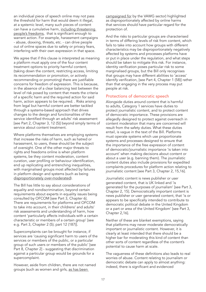an individual piece of speech online may not pass the threshold for harm that would deem it illegal, at a systemic level, many such pieces of content can have a cumulative harm, [including threatening](https://hopenothate.org.uk/2021/09/03/new-report-free-speech-for-all-why-legal-but-harmful-content-should-continue-to-be-included-in-the-online-safety-bill/)  [people's freedoms](https://hopenothate.org.uk/2021/09/03/new-report-free-speech-for-all-why-legal-but-harmful-content-should-continue-to-be-included-in-the-online-safety-bill/), that is significant enough to warrant action. For example, harassment campaigns - abuse, doxxing, threats, etc. - can drive people out of online spaces due to safety or privacy fears, interfering with their own expression in that space.

We agree that if this clause is interpreted as meaning a platform must apply one of the four content treatment options to priority harmful content, (taking down the content, restricting access, limiting its recommendation or promotion, or actively recommending or promoting) there are justifiable concerns for freedom of expression. This is because, in the absence of a clear balancing test between the level of risk posed by content that meets the criteria of a specific harm and the required action for said harm, action appears to be required. . Risks arising from legal but harmful content are better tackled through a systems-based approach that drives changes to the design and functionalities of the service identified through an adults' risk assessment [see Part 2, Chapter 3, 12 (5)] beyond simply terms of service about content treatment.

Where platforms themselves are employing systems that increase the risks of harm, such as hatred or harassment, to users, these should be the subject of oversight. One of the other major threats to rights and freedoms online is when platform systems, be they content moderation, content curation, user profiling or behaviour identification, end up replicating and entrenching inequalities, with marginalised groups most affected by failures in platform design and systems (such as being [disproportionately over-moderated](https://eu.boell.org/sites/default/files/2021-06/HBS-e-paper-state-platform-moderation-for-LGBTQI-200621_FINAL.pdf)).

The Bill has little to say about considerations of equality and nondiscrimination, beyond certain requirements about experts in equality issues being consulted by OFCOM [see Part 3, Chapter 6]. There are requirements for platforms and OFCOM to take into account, in their childrens' and adults' risk assessments and understanding of harm, how content 'particularly affects individuals with a certain characteristic or members of a certain group' [see e.g. Part 3, Chapter 2 (5); part 12 (187)].

Supercomplaints can be brought for instance, if services are 'causing significant harm to users of the services or members of the public, or a particular group of such users or members of the public' [see Part 8, Chapter 2] - suggesting that discrimination against a particular group would be grounds for a supercomplaint.

However, aside from children, there are not named groups (such as women and girls, as has been

[campaigned for](https://www.change.org/p/nadinedorries-the-uk-s-new-online-safety-law-must-protect-women-girls-from-online-abuse) by the VAWG sector) highlighted as disproportionately affected by online harms that services should have particular regard for the protection of.

And the risks to particular groups are characterised in terms of differing levels of risk from content, which fails to take into account how groups with different characteristics may be disproportionately negatively affected by systems and processes platforms have or put in place under the regulation, and what steps should be taken to mitigate this risk. For instance, identity verification poses particular risk to some marginalised groups, but the Bill only recognises that groups may have different abilities to 'access' identify verification, [see Part 4, Chapter 1 (58)] rather than that engaging in the very process may put people at risk.

## Protections of democratic speech

Alongside duties around content that is harmful to adults, Category 1 services have duties to protect journalistic content, and to protect content of democratic importance. These provisions are allegedly designed to protect against overreach in content moderation that many are concerned will result from the safety duties. What these duties entail, is vague in the text of the Bill. Platforms must operate systems which use proportionate systems and processes designed to ensure that the importance of the free expression of content of democratic/journalistic importance 'is taken into account' when making decisions about content or about a user (e.g. banning them). The journalistic content duties also include provisions for expedited complaints procedures for platform action relating to journalistic content [see Part 3, Chapter 2, 15,16].

Journalistic content is news publisher or user generated content, that is UK linked and 'is generated for the purposes of journalism' [see Part 3, Chapter 2, 15]. Democratically important content is news publisher or user generated content, that 'is or appears to be specifically intended to contribute to democratic political debate in the United Kingdom or a part or area of the United Kingdom' [see Part 3, Chapter 2,16].

Neither of these are blanket exemptions, saying that platforms may never moderate democratically important or journalistic content. However, it is clearly at least intended that there should be a higher bar for moderating this kind of content than other sorts of content regardless of the content's potential to cause harm at scale.

The vagueness of these definitions also leads to real worries of abuse. Content relating to journalism or democratic debate can apply to almost anything: indeed, there is significant and evidenced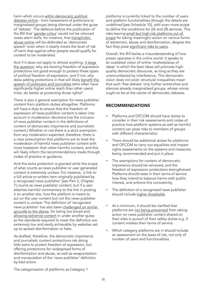harm which occurs [within democratic political](https://eu.boell.org/en/2021/07/09/gendered-disinformation-6-reasons-why-liberal-democracies-need-respond-threat)  [debates online](https://eu.boell.org/en/2021/07/09/gendered-disinformation-6-reasons-why-liberal-democracies-need-respond-threat) - from harassment of politicians to marginalised groups being silenced under the guise of 'debate'. The defence before the publication of the Bill that '[gender critics](https://www.thetimes.co.uk/article/big-tech-must-let-gender-critics-speak-under-online-safety-law-cq93r5d7n)' would not be silenced raises alarm bells, for instance, that [transphobic](https://www.bbc.co.uk/news/technology-50166900)  [abuse online](https://www.bbc.co.uk/news/technology-50166900) will be defended as 'democratic speech' even when it clearly meets the level of risk of harm that against other people would qualify for content to be moderated.

And if it does not apply to almost anything, [it begs](https://demos.co.uk/wp-content/uploads/2021/10/Demos-Submission-to-Joint-Committee.pdf)  [the question](https://demos.co.uk/wp-content/uploads/2021/10/Demos-Submission-to-Joint-Committee.pdf): why are existing freedom of expression protections not good enough to protect these types of political freedom of expression, and if not, why does adding protections in that will likely [benefit the](https://committees.parliament.uk/publications/6878/documents/72529/default/)  [speech of politicians and journalists](https://committees.parliament.uk/publications/6878/documents/72529/default/) (who often have significantly higher online reach than other users) most, do better at protecting those rights?

There is also a general exemption for news publisher content from platform duties altogether. Platforms will have a duty to ensure that the freedom of expression of news publisher content is taken into account in moderation decisions (via the inclusion of news publisher content in the definitions of content of democratic importance and journalistic content.) Whether or not there is a strict exemption from any moderation expected, therefore, there is a clear presumption that platforms are to treat the moderation of harmful news publisher content with more hesitation than other harmful content, and this will likely inform the recommendations made through codes of practice or guidance.

And this extra protection is granted while the scope of what counts as news publisher or user generated content is extremely unclear. For instance, 'a link to a full article or written item originally published by a recognised news publisher' [see Part 3, Chapter 7] counts as news publisher content, but if a user attaches harmful commentary to the link in posting it on another site, how the platform is meant to act on the user content but not the news publisher content is unclear. The definition of 'recognised news publisher' has also been [challenged on similar](https://committees.parliament.uk/writtenevidence/39237/pdf/)  [grounds to the above,](https://committees.parliament.uk/writtenevidence/39237/pdf/) for being too broad and [allowing extremist content](https://committees.parliament.uk/writtenevidence/39153/pdf/) in under another guise: as the standards required to meet the definition are extremely low and easily achievable by websites set up to spread disinformation or hate.

As drafted, therefore, the democratic importance and journalistic content protections risk doing little extra to protect freedom of expression, but offering protections for widespread forms of disinformation and abuse, as well as weaponisation and manipulation of the 'news publisher' definition by bad actors.

platforms is currently linked to the number of users and platform functionalities (though the details are undefined [see Schedule 10], with even more scope to define the conditions for 2A and 2B services. This risks leaving [small but high-risk platforms out of](https://committees.parliament.uk/writtenevidence/39153/pdf/)  [scope](https://committees.parliament.uk/writtenevidence/39153/pdf/) for taking meaningful action on various forms of extremism, abuse and disinformation, despite the fact they pose [significant risks to users](https://blogs.timesofisrael.com/does-the-online-safety-bill-really-keep-us-safe/).

Overall, the Bill belies a misunderstanding of how power operates in the online world. It speaks to an outdated vision of online 'marketplaces of ideas' in which the best ideas will promote highquality democratic discourse, as long as they are unencumbered by interference. This democratic vision does not exist: structural inequalities mean that such 'free debate' only further entrenches and silences already marginalised groups, whose voices ought to be at the centre of democratic debates.

#### **RECOMMENDATIONS**

- Platforms and OFCOM should have duties to consider in their risk assessments and codes of practice how platform systems as well as harmful content can pose risks to members of groups with different characteristics
- There should be additional duties for platforms and OFCOM to carry out equalities and impact rights assessments on the systems and measures being recommended and put in place
- The exemptions for content of democratic importance should be removed, and the freedom of expression protections strengthened. Platforms should state in their terms of service how they intend to balance harms with public interest, and enforce this consistently.
- The definition of a recognised news publisher should include [higher thresholds](https://committees.parliament.uk/writtenevidence/39237/pdf/)
- At a minimum, it should be clarified that platforms are [not being prevented](https://www.disinfo.eu/advocacy/fact-checkers-and-experts-call-on-meps-to-reject-a-media-exemption-in-the-dsa/) from taking action on news publisher content shared on their sites in pursuit of their safety duties e.g. if content violates their terms of service
- Which category platforms are in should include an assessment on the basis of risk, not only of number of users and functionalities.

The categorisation of platforms as Category 1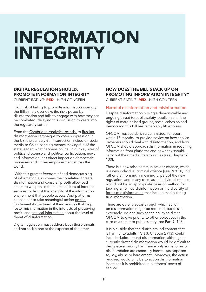## <span id="page-18-0"></span>INFORMATION INTEGRITY

## DIGITAL REGULATION SHOULD: PROMOTE INFORMATION INTEGRITY

CURRENT RATING: RED - HIGH CONCERN

High risk of failing to promote information integrity: the Bill simply overlooks the risks posed by disinformation and fails to engage with how they can be combated, delaying this discussion to years into the regulatory set-up.

From the [Cambridge Analytica scandal](https://www.theguardian.com/news/series/cambridge-analytica-files) to [Russian](https://www.scientificamerican.com/article/russian-misinformation-seeks-to-confound-not-convince/)  [disinformation campaigns](https://www.scientificamerican.com/article/russian-misinformation-seeks-to-confound-not-convince/) to [voter suppression](https://www.nbcnews.com/tech/social-media/days-left-black-voters-face-orchestrated-efforts-discourage-voting-n1243780) in the US, the [January 6th insurrection](https://www.washingtonpost.com/technology/2021/10/22/jan-6-capitol-riot-facebook/) incited on social media to China banning memes making fun of the state leader: what happens online, in our key sites of political discourse and political participation, news and information, has direct impact on democratic processes and citizen empowerment across the world.

 With this greater freedom of and democratising of information also comes the correlating threats: disinformation and censorship both allow bad actors to weaponise the functionalities of internet services to disrupt the integrity of the information environment that people access. And platforms choose not to take meaningful action [on the](https://www.wired.co.uk/article/facebook-covid-disinformation)  [fundamental structures](https://www.wired.co.uk/article/facebook-covid-disinformation) of their services that help foster misinformation in the interests of preserving profit: and [conceal information](https://www.washingtonpost.com/technology/2021/10/28/facebook-covid-misinformation/) about the level of threat of disinformation.

Digital regulation must address both these threats, and not tackle one at the expense of the other.

## HOW DOES THE BILL STACK UP ON PROMOTING INFORMATION INTEGRITY? CURRENT RATING: RED - HIGH CONCERN

#### Harmful disinformation and misinformation

Despite disinformation posing a demonstrable and ongoing threat to public safety, public health, the rights of marginalised groups, social cohesion and democracy, this Bill has remarkably little to say.

OFCOM must establish a committee, to report within 18 months, to provide advice on how service providers should deal with disinformation, and how OFCOM should approach disinformation in requiring information from platforms and how they should carry out their media literacy duties [see Chapter 7, 130].

There is a new false communications offence, which is a new individual criminal offence [see Part 10, 151] rather than forming a meaningful part of the new regulation, and in any case, as an individual offence, would not be an appropriate basis or method for tackling amplified disinformation or [the diversity of](https://demos.co.uk/project/warring-songs-information-operations-in-the-digital-age/)  [forms of disinformation](https://demos.co.uk/project/warring-songs-information-operations-in-the-digital-age/) that include manipulating true information.

There are other clauses through which action on disinformation might be required, but this is extremely unclear (such as the ability to direct OFCOM to give priority to other objectives in the case of a threat to public safety [see Part 9, 146].

It is plausible that the duties around content that is harmful to adults [Part 3, Chapter 2 (13)] could include duties around disinformation, although as currently drafted disinformation would be difficult to designate a priority harm since only some forms of disinformation are especially harmful (as opposed to, say, abuse or harassment). Moreover, the action required would only be to act on disinformation insofar as it is prohibited in platforms' terms of service.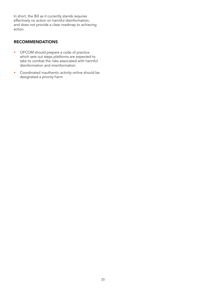In short, the Bill as it currently stands requires effectively no action on harmful disinformation, and does not provide a clear roadmap to achieving action.

## RECOMMENDATIONS

- OFCOM should prepare a code of practice which sets out steps platforms are expected to take to combat the risks associated with harmful disinformation and misinformation
- Coordinated inauthentic activity online should be designated a priority harm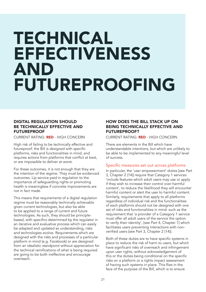## <span id="page-20-0"></span>TECHNICAL EFFECTIVENESS AND FUTUREPROOFING

## DIGITAL REGULATION SHOULD BE TECHNICALLY EFFECTIVE AND **FUTUREPROOF**

CURRENT RATING: RED - HIGH CONCERN

High risk of failing to be technically effective and futureproof: the Bill is designed with specific platforms, risks and functionalities in mind, and requires actions from platforms that conflict at best, or are impossible to deliver at worst.

For these outcomes, it is not enough that they are the intention of the regime. They must be evidenced outcomes. Lip service paid in regulation to the importance of safeguarding rights or promoting health is meaningless if concrete improvements are not in fact made.

This means that requirements of a digital regulation regime must be reasonably technically achievable given current technologies, but also be able to be applied to a range of current and future technologies. As such, they should be principlebased, with specifics determined by the regulator in an iterative and evaluative process which can easily be adapted and updated as understanding, risks and technologies evolve. Requirements which are designed with the risks and processes of a particular platform in mind (e.g. Facebook) or are designed from an idealistic standpoint without appreciation for the technical ramifications of what is being required are going to be both ineffective and encourage overreach.

## HOW DOES THE BILL STACK UP ON BEING TECHNICALLY EFFECTIVE AND FUTUREPROOF?

CURRENT RATING: RED - HIGH CONCERN

There are elements in the Bill which have understandable intentions, but which are unlikely to be able to be implemented to any meaningful level of success.

#### Specific measures set out across platforms

In particular, the 'user empowerment' duties [see Part 3, Chapter 2 (14)] require that Category 1 services 'include features which adult users may use or apply if they wish to increase their control over harmful content', to reduce the likelihood they will encounter harmful content or alert the user to harmful content. Similarly, requirements that apply to all platforms regardless of individual risk and the functionalities of each platforms should not be designed with one set of risks and functionalities in mind: such as the requirement that 'a provider of a Category 1 service must offer all adult users of the service the option to verify their identity', [see Part 4, Chapter 1] which facilitates users preventing interactions with nonverified users [see Part 3, Chapter 2 (14)].

Both of these duties are to have specific systems in place to reduce the risk of harm to users, but which have significant risks of overreach and infringement upon user rights, without acknowledgement of this or the duties being conditional on the specific risks on a platform or a rights impact assessment of having such systems in place. This flies in the face of the purpose of the Bill, which is to ensure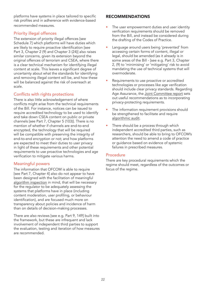platforms have systems in place tailored to specific risk profiles and in adherence with evidence-based recommended measures.

## Priority illegal offences

The extension of priority illegal offences [see Schedule 7] which platforms will have duties which are likely to require proactive identification [see Part 3, Chapter 2 (9) and Chapter 3 (24)] also raises similar concerns, given its extension beyond the original offences of terrorism and CSEA, where there is a clear technical mechanism for identifying illegal content at scale. This leaves a significant degree of uncertainty about what the standards for identifying and removing illegal content will be, and how these will be balanced against the risk of overreach at scale.

## Conflicts with rights protections

There is also little acknowledgement of where conflicts might arise from the technical requirements of the Bill. For instance, notices can be issued to require accredited technology to be used to identify and take down CSEA content on public or private channels [see Part 7, Chapter 5 (103)]. There is no mention of whether if channels are end-to-end encrypted, the technology that will be required will be compatible with preserving the integrity of end-to-end encryption or not; and how platforms are expected to meet their duties to user privacy in light of these requirements and other potential requirements to use proactive technologies and age verification to mitigate various harms.

## Meaningful powers

The information that OFCOM is able to require [see Part 7, Chapter 4] also do not appear to have been designed with the facilitation of meaningful [algorithm inspection](https://www.adalovelaceinstitute.org/wp-content/uploads/2020/11/Inspecting-algorithms-in-social-media-platforms.pdf) in mind, that will be necessary for the regulator to be adequately assessing the systems that platforms have in place (including content moderation, user profiling, or behaviour identification), and are focused much more on transparency about policies and incidence of harm than on details of decision-making processes.

There are also reviews [see e.g. Part 9, 149] built into the framework, but these are infrequent and lack involvement of independent third parties to support the evaluation, testing and iteration of how measures are recommended.

## RECOMMENDATIONS

- The user empowerment duties and user identity verification requirements should be removed from the Bill, and instead be considered during the drafting of the Codes of Practice.
- Language around users being 'prevented' from accessing certain forms of content, illegal or legal, should be amended (as it already is in some areas of the Bill - [see e.g. Part 3, Chapter 2, (9) to 'minimising' or 'mitigating' risk to avoid mandating the use of technical systems that will overmoderate.
- Requirements to use proactive or accredited technologies or processes like age verification should include clear privacy standards. Regarding Age Assurance, the [Joint Committee report](https://committees.parliament.uk/publications/8206/documents/84092/default/) sets out useful recommendations as to incorporating privacy-protecting requirements.
- The information requirement provisions should be strengthened to facilitate and require [algorithmic audit](https://www.adalovelaceinstitute.org/wp-content/uploads/2020/11/Inspecting-algorithms-in-social-media-platforms.pdf).
- There should be a process through which independent accredited third parties, such as researchers, should be able to bring to OFCOM's attention the need to amend a code of practice or guidance based on evidence of systemic failures in prescribed measures.

## Procedure

There are key procedural requirements which the regime should meet, regardless of the outcomes or focus of the regime.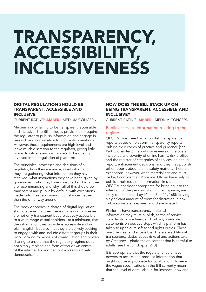## <span id="page-22-0"></span>TRANSPARENCY, ACCESSIBILITY, INCLUSIVENESS

## DIGITAL REGULATION SHOULD BE TRANSPARENT, ACCESSIBLE AND INCLUSIVE

CURRENT RATING: AMBER - MEDIUM CONCERN

Medium risk of failing to be transparent, accessible and inclusive: The Bill includes provisions to require the regulator to publish information and engage in research and consultation to inform its operations. However, these requirements are high-level and leave much discretion to the regulator, giving little power to citizens and civil society to be directly involved in the regulation of platforms.

The principles, processes and decisions of a regulator, how they are made, what information they are gathering, what information they have received, what instructions they have been given by government, who they have consulted and what they are recommending and why - all of this should be transparent and public by default, with exceptions made only in extraordinary circumstances, rather than the other way around.

The body or bodies in charge of digital regulation should ensure that their decision-making processes are not only transparent but are actively accessible to a wide range of stakeholders - at a minimum, that the information they provide is accessible and in plain English, but also that they are actively seeking to engage with and include different groups in their work: looking to models of co-regulation and powersharing to ensure that the regulatory regime does not simply replace one form of top-down control of the internet for another, but works to actively democratise it.

## HOW DOES THE BILL STACK UP ON BEING TRANSPARENT, ACCESSIBLE AND INCLUSIVE?

CURRENT RATING: AMBER - MEDIUM CONCERN

## Public access to information relating to the regime

OFCOM must [see Part 7] publish transparency reports based on platform transparency reports; publish their codes of practice and guidance [see Part 3, Chapter 6], reports on reviews of the overall incidence and severity of online harms; risk profiles and the register of categories of services; an annual report; enforcement decisions; and they may publish other reports about online safety matters. There are exceptions, however, when material can and must be kept confidential. Moreover Ofcom have only to publish their required information 'in such manner as OFCOM consider appropriate for bringing it to the attention of the persons who, in their opinion, are likely to be affected by it' [see Part 11, 168]: leaving a significant amount of room for discretion in how publications are prepared and disseminated.

Platforms have transparency duties about information they must publish, terms of service, complaints procedures, and publicly available statements on positive steps which a platform has taken to uphold its safety and rights duties. These must be clear and accessible. There are additional transparency duties about risks of and actions taken by Category 1 platforms on content that is harmful to adults [see Part 3, Chapter 2, 3]

It is appropriate that the regulator should have powers to access and produce information that might not be appropriate for publication. However, the vague specifications in the Bill currently mean that the level of detail about, for instance, how and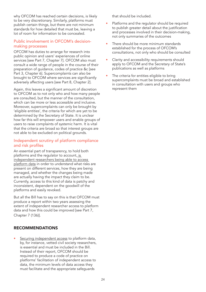why OFCOM has reached certain decisions, is likely to be very discretionary. Similarly, platforms must publish certain things, but there are not minimum standards for how detailed that must be, leaving a lot of room for information to be concealed.

## Public involvement in OFCOM's decisionmaking processes

OFCOM has duties to arrange for research into public opinion and users' experiences of online services [see Part 7, Chapter 7]. OFCOM also must consult a wide range of people in the course of their preparation of guidance, codes of practice &c [see Part 3, Chapter 6]. Supercomplaints can also be brought to OFCOM where services are significantly adversely affecting users [see Part 8, Chapter 2].

Again, this leaves a significant amount of discretion to OFCOM as to not only who and how many people are consulted, but the manner of the consultation, which can be more or less accessible and inclusive. Moreover, supercomplaints can only be brought by 'eligible entities', the criteria for which are yet to be determined by the Secretary of State. It is unclear how far this will empower users and enable groups of users to raise complaints of systemic harm. It is vital that the criteria are broad so that interest groups are not able to be excluded on political grounds.

## Independent scrutiny of platform compliance and risk profiles

An essential part of transparency, to hold both platforms and the regulator to account, [is](https://algorithmwatch.org/en/dsa-open-letter-november-2021/)  [independent researchers being able to access](https://algorithmwatch.org/en/dsa-open-letter-november-2021/)  [platform data](https://algorithmwatch.org/en/dsa-open-letter-november-2021/) in order to understand what risks are present on different services, how they are being managed, and whether the changes being made are actually having the impact they claim to be. Currently, access to this kind of data is patchy and inconsistent, dependent on the goodwill of the platforms and easily revoked.

But all the Bill has to say on this is that OFCOM must produce a report within two years assessing the extent of independent researcher access to platform data and how this could be improved [see Part 7, Chapter 7 (136)].

## RECOMMENDATIONS

[Securing independent access](https://algorithmwatch.org/en/dsa-open-letter-november-2021/) to platform data, by, for instance, vetted civil society researchers, is essential and must be included in the Bill. Instead of their report, OFCOM should be required to produce a code of practice on platforms' facilitation of independent access to data, the minimum levels of data access they must facilitate and the appropriate safeguards

that should be included.

- Platforms and the regulator should be required to publish greater detail about the justification and processes involved in their decision-making, not only summaries of the outcomes
- There should be more minimum standards established for the process of OFCOM's consultations, not only who should be consulted
- Clarity and accessibility requirements should apply to OFCOM and the Secretary of State's publications as well as platforms
- The criteria for entities eligible to bring supercomplaints must be broad and established in consultation with users and groups who represent them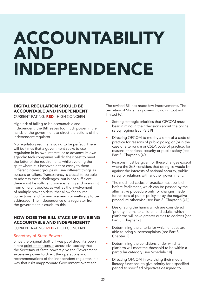## <span id="page-24-0"></span>ACCOUNTABILITY AND INDEPENDENCE

## DIGITAL REGULATION SHOULD BE ACCOUNTABLE AND INDEPENDENT

CURRENT RATING: RED - HIGH CONCERN

High risk of failing to be accountable and independent: the Bill leaves too much power in the hands of the government to direct the actions of the independent regulator.

No regulatory regime is going to be perfect. There will be times that a government seeks to use regulation in its own interest, or to advance its own agenda: tech companies will do their best to meet the letter of the requirements while avoiding the spirit where it is inconvenient or costly to them. Different interest groups will see different things as success or failure. Transparency is crucial to be able to address these challenges, but is not sufficient: there must be sufficient power-sharing and oversight from different bodies, as well as the involvement of multiple stakeholders, that allow for course corrections, and for any overreach or inefficacy to be addressed. The independence of a regulator from the government is crucial to this.

## HOW DOES THE BILL STACK UP ON BEING ACCOUNTABLE AND INDEPENDENT?

CURRENT RATING: RED - HIGH CONCERN

## Secretary of State Powers

Since the original draft Bill was published, it's been a rare [point of consensus](https://www.carnegieuktrust.org.uk/blog-posts/secretary-of-states-powers-and-the-draft-online-safety-bill/) across civil society that the Secretary of State powers give the Government excessive power to direct the operations and recommendations of the independent regulator, in a way that risks inappropriate Government overreach.

The revised Bill has made few improvements. The Secretary of State has powers including (but not limited to):

- Setting strategic priorities that OFCOM must bear in mind in their decisions about the online safety regime [see Part 9]
- Directing OFCOM to modify a draft of a code of practice for reasons of public policy, or (b) in the case of a terrorism or CSEA code of practice, for reasons of national security or public safety [see Part 3, Chapter 6 (40)].
- Reasons must be given for these changes except where the SoS considers that doing so would be against the interests of national security, public safety or relations with another government.
- The modified codes of practice must be laid before Parliament, which can be passed by the affirmative procedure only for changes made for reasons of public policy, or by the negative procedure otherwise [see Part 3, Chapter 6 (41)].
- Designating the harms which are considered 'priority' harms to children and adults, which platforms will have greater duties to address [see Part 3, Chapter 7]
- Determining the criteria for which entities are able to bring supercomplaints [see Part 8, Chapter 2]
- Determining the conditions under which a platform will meet the threshold to be within a particular category [see Schedule 10]
- Directing OFCOM in exercising their media literacy functions, to give priority for a specified period to specified objectives designed to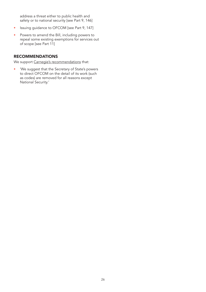address a threat either to public health and safety or to national security [see Part 9, 146]

- Issuing guidance to OFCOM [see Part 9, 147]
- Powers to amend the Bill, including powers to repeal some existing exemptions for services out of scope [see Part 11]

## RECOMMENDATIONS

We support [Carnegie's recommendations](https://d1ssu070pg2v9i.cloudfront.net/pex/pex_carnegie2021/2022/03/31120201/The-Online-Safety-Bill-Our-Initial-Analysis.pdf) that:

• 'We suggest that the Secretary of State's powers to direct OFCOM on the detail of its work (such as codes) are removed for all reasons except National Security.'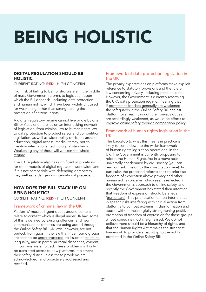# <span id="page-26-0"></span>BEING HOLISTIC

## DIGITAL REGULATION SHOULD BE **HOLISTIC**

CURRENT RATING: RED - HIGH CONCERN

High risk of failing to be holistic: we are in the middle of mass Government reforms to legislation upon which the Bill depends, including data protection and human rights, which have been widely criticised for weakening rather than strengthening the protection of citizens' rights.

A digital regulatory regime cannot live or die by one Bill or Act alone. It relies on an interlocking network of legislation, from criminal law to human rights law to data protection to product safety and competition legislation, as well as wider policy decisions around education, digital access, media literacy, not to mention international technological standards. [Weakening any of these will weaken the whole](https://demos.co.uk/blog/the-success-of-the-online-safety-bill-will-depend-on-the-governments-ability-to-admit-it-could-go-wrong/)  [regime.](https://demos.co.uk/blog/the-success-of-the-online-safety-bill-will-depend-on-the-governments-ability-to-admit-it-could-go-wrong/)

The UK regulation also has significant implications for other models of digital regulation worldwide, and if it is not compatible with defending democracy, may well set [a dangerous international precedent.](https://www.indexoncensorship.org/2021/06/governments-online-safety-bill-will-be-catastrophic-for-ordinary-peoples-freedom-of-speech-says-david-davis-mp/)

## HOW DOES THE BILL STACK UP ON BEING HOLISTIC?

CURRENT RATING: RED - HIGH CONCERN

## Framework of criminal law in the UK

Platforms' most stringent duties around content relate to content which is illegal under UK law: some of this is defined by existing offences, and new communications offences are being added through the Online Safety Bill. UK laws, however, are not perfect: from gaps in the law that mean some groups are seen to be [underprotected](https://www.bbc.co.uk/news/uk-politics-56399862), to issues of [structural](https://committees.parliament.uk/work/347/the-macpherson-report-twentyone-years-on/news/157006/urgent-action-needed-to-tackle-deep-rooted-and-persistent-racial-disparities-in-policing/)  [inequality](https://committees.parliament.uk/work/347/the-macpherson-report-twentyone-years-on/news/157006/urgent-action-needed-to-tackle-deep-rooted-and-persistent-racial-disparities-in-policing/), and in particular racial disparities, evident in how laws are enforced. These problems will only be translated across to how platforms implement their safety duties unless these problems are acknowledged, and proactively addressed and rectified.

## Framework of data protection legislation in the UK

The privacy expectations on platforms make explicit reference to statutory provisions and the rule of law concerning privacy, including personal data. However, the Government is currently [reforming](https://www.gov.uk/government/consultations/data-a-new-direction) the UK's data protection regime: meaning that if [protections for data generally are weakened](https://www.openrightsgroup.org/blog/internet-policy-is-broken/), the safeguards in the Online Safety Bill against platform overreach through their privacy duties are accordingly weakened, as would be efforts to [improve online safety through competition policy.](https://www.openrightsgroup.org/blog/online-safety-made-dangerous/)

## Framework of human rights legislation in the UK

The backstop to what this means in practice is likely to come down to the wider framework of human rights legislation operational in the UK. The Government is currently proposing to reform the Human Rights Act in a move nearuniversally condemned by civil society (you can read our submission to the consultation [here\)](https://demos.co.uk/project/joint-submission-human-rights-act-reform-consultation/). In particular, the proposed reforms seek to prioritise freedom of expression above privacy and other human rights concerns, which seems reflected in the Government's approach to online safety, and recently the Government has stated their intention that freedom of expression should be a legal '[trump card](https://www.theguardian.com/law/2022/mar/25/raab-says-uk-bill-of-rights-will-stop-free-speech-being-whittled-away-by-wokery)'. This prioritisation of non-interference in speech risks interfering with crucial action from platforms to combat extremism, disinformation and abuse, without meaningfully strengthening positive promotion of freedom of expression for those groups whose speech is most marginalised. We do not believe there should be a hierarchy of rights, and that the Human Rights Act remains the strongest framework to provide a backstop to the rights protected in the Online Safety Bill.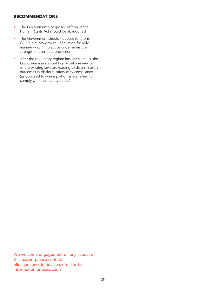## RECOMMENDATIONS

- The Government's proposed reform of the Human Rights Act [should be abandoned](https://www.libertyhumanrights.org.uk/issue/plans-to-reform-the-human-rights-act-are-an-unashamed-power-grab/#:~:text=Liberty%20has%20condemned%20plans%20to,aim%20of%20making%20it%20untouchable.)
- The Government should not seek to reform GDPR in a 'pro-growth, innovation-friendly' manner which in practice undermines the strength of user data protection
- After the regulatory regime has been set up, the Law Commission should carry out a review of where existing laws are leading to discriminatory outcomes in platform safety duty compliance (as opposed to where platforms are failing to comply with their safety duties)

We welcome engagement on any aspect of this paper: please contact ellen.judson@demos.co.uk for further information or discussion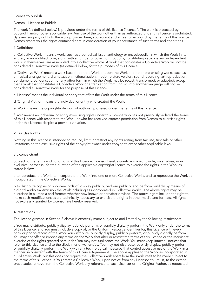#### Licence to publish

#### Demos – Licence to Publish

The work (as defined below) is provided under the terms of this licence ('licence'). The work is protected by copyright and/or other applicable law. Any use of the work other than as authorized under this licence is prohibited. By exercising any rights to the work provided here, you accept and agree to be bound by the terms of this licence. Demos grants you the rights contained here in consideration of your acceptance of such terms and conditions.

#### 1 Definitions

a 'Collective Work' means a work, such as a periodical issue, anthology or encyclopedia, in which the Work in its entirety in unmodified form, along with a number of other contributions, constituting separate and independent works in themselves, are assembled into a collective whole. A work that constitutes a Collective Work will not be considered a Derivative Work (as defined below) for the purposes of this Licence.

b 'Derivative Work' means a work based upon the Work or upon the Work and other pre-existing works, such as a musical arrangement, dramatization, fictionalization, motion picture version, sound recording, art reproduction, abridgment, condensation, or any other form in which the Work may be recast, transformed, or adapted, except that a work that constitutes a Collective Work or a translation from English into another language will not be considered a Derivative Work for the purpose of this Licence.

c 'Licensor' means the individual or entity that offers the Work under the terms of this Licence.

d 'Original Author' means the individual or entity who created the Work.

e 'Work' means the copyrightable work of authorship offered under the terms of this Licence.

f 'You' means an individual or entity exercising rights under this Licence who has not previously violated the terms of this Licence with respect to the Work, or who has received express permission from Demos to exercise rights under this Licence despite a previous violation.

#### 2 Fair Use Rights

Nothing in this licence is intended to reduce, limit, or restrict any rights arising from fair use, first sale or other limitations on the exclusive rights of the copyright owner under copyright law or other applicable laws.

#### 3 Licence Grant

Subject to the terms and conditions of this Licence, Licensor hereby grants You a worldwide, royalty-free, nonexclusive, perpetual (for the duration of the applicable copyright) licence to exercise the rights in the Work as stated below:

a to reproduce the Work, to incorporate the Work into one or more Collective Works, and to reproduce the Work as incorporated in the Collective Works;

b to distribute copies or phono-records of, display publicly, perform publicly, and perform publicly by means of a digital audio transmission the Work including as incorporated in Collective Works; The above rights may be exercised in all media and formats whether now known or hereafter devised. The above rights include the right to make such modifications as are technically necessary to exercise the rights in other media and formats. All rights not expressly granted by Licensor are hereby reserved.

#### 4 Restrictions

The licence granted in Section 3 above is expressly made subject to and limited by the following restrictions:

a You may distribute, publicly display, publicly perform, or publicly digitally perform the Work only under the terms of this Licence, and You must include a copy of, or the Uniform Resource Identifier for, this Licence with every copy or phono-record of the Work You distribute, publicly display, publicly perform, or publicly digitally perform. You may not offer or impose any terms on the Work that alter or restrict the terms of this Licence or the recipients' exercise of the rights granted hereunder. You may not sublicence the Work. You must keep intact all notices that refer to this Licence and to the disclaimer of warranties. You may not distribute, publicly display, publicly perform, or publicly digitally perform the Work with any technological measures that control access or use of the Work in a manner inconsistent with the terms of this Licence Agreement. The above applies to the Work as incorporated in a Collective Work, but this does not require the Collective Work apart from the Work itself to be made subject to the terms of this Licence. If You create a Collective Work, upon notice from any Licensor You must, to the extent practicable, remove from the Collective Work any reference to such Licensor or the Original Author, as requested.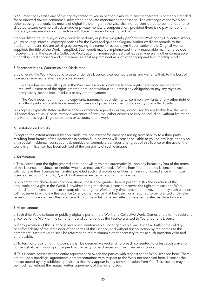b You may not exercise any of the rights granted to You in Section 3 above in any manner that is primarily intended for or directed toward commercial advantage or private monetary compensation. The exchange of the Work for other copyrighted works by means of digital file sharing or otherwise shall not be considered to be intended for or directed toward commercial advantage or private monetary compensation, provided there is no payment of any monetary compensation in connection with the exchange of copyrighted works.

c If you distribute, publicly display, publicly perform, or publicly digitally perform the Work or any Collective Works, you must keep intact all copyright notices for the Work and give the Original Author credit reasonable to the medium or means You are utilizing by conveying the name (or pseudonym if applicable) of the Original Author if supplied; the title of the Work if supplied. Such credit may be implemented in any reasonable manner; provided, however, that in the case of a Collective Work, at a minimum such credit will appear where any other comparable authorship credit appears and in a manner at least as prominent as such other comparable authorship credit.

#### 5 Representations, Warranties and Disclaimer

a By offering the Work for public release under this Licence, Licensor represents and warrants that, to the best of Licensor's knowledge after reasonable inquiry:

i Licensor has secured all rights in the Work necessary to grant the licence rights hereunder and to permit the lawful exercise of the rights granted hereunder without You having any obligation to pay any royalties, compulsory licence fees, residuals or any other payments;

ii The Work does not infringe the copyright, trademark, publicity rights, common law rights or any other right of any third party or constitute defamation, invasion of privacy or other tortious injury to any third party.

b Except as expressly stated in this licence or otherwise agreed in writing or required by applicable law, the work is licenced on an 'as is' basis, without warranties of any kind, either express or implied including, without limitation, any warranties regarding the contents or accuracy of the work.

#### 6 Limitation on Liability

Except to the extent required by applicable law, and except for damages arising from liability to a third party resulting from breach of the warranties in section 5, in no event will licensor be liable to you on any legal theory for any special, incidental, consequential, punitive or exemplary damages arising out of this licence or the use of the work, even if licensor has been advised of the possibility of such damages.

#### 7 Termination

a This Licence and the rights granted hereunder will terminate automatically upon any breach by You of the terms of this Licence. Individuals or entities who have received Collective Works from You under this Licence, however, will not have their licences terminated provided such individuals or entities remain in full compliance with those licences. Sections 1, 2, 5, 6, 7, and 8 will survive any termination of this Licence.

b Subject to the above terms and conditions, the licence granted here is perpetual (for the duration of the applicable copyright in the Work). Notwithstanding the above, Licensor reserves the right to release the Work under different licence terms or to stop distributing the Work at any time; provided, however that any such election will not serve to withdraw this Licence (or any other licence that has been, or is required to be, granted under the terms of this Licence), and this Licence will continue in full force and effect unless terminated as stated above.

#### 8 Miscellaneous

a Each time You distribute or publicly digitally perform the Work or a Collective Work, Demos offers to the recipient a licence to the Work on the same terms and conditions as the licence granted to You under this Licence.

b If any provision of this Licence is invalid or unenforceable under applicable law, it shall not affect the validity or enforceability of the remainder of the terms of this Licence, and without further action by the parties to this agreement, such provision shall be reformed to the minimum extent necessary to make such provision valid and enforceable.

c No term or provision of this Licence shall be deemed waived and no breach consented to unless such waiver or consent shall be in writing and signed by the party to be charged with such waiver or consent.

d This Licence constitutes the entire agreement between the parties with respect to the Work licenced here. There are no understandings, agreements or representations with respect to the Work not specified here. Licensor shall not be bound by any additional provisions that may appear in any communication from You. This Licence may not be modified without the mutual written agreement of Demos and You.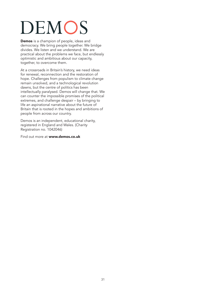# DEMOS

Demos is a champion of people, ideas and democracy. We bring people together. We bridge divides. We listen and we understand. We are practical about the problems we face, but endlessly optimistic and ambitious about our capacity, together, to overcome them.

At a crossroads in Britain's history, we need ideas for renewal, reconnection and the restoration of hope. Challenges from populism to climate change remain unsolved, and a technological revolution dawns, but the centre of politics has been intellectually paralysed. Demos will change that. We can counter the impossible promises of the political extremes, and challenge despair – by bringing to life an aspirational narrative about the future of Britain that is rooted in the hopes and ambitions of people from across our country.

Demos is an independent, educational charity, registered in England and Wales. (Charity Registration no. 1042046)

Find out more at [www.demos.co.uk](http://www.demos.co.uk)